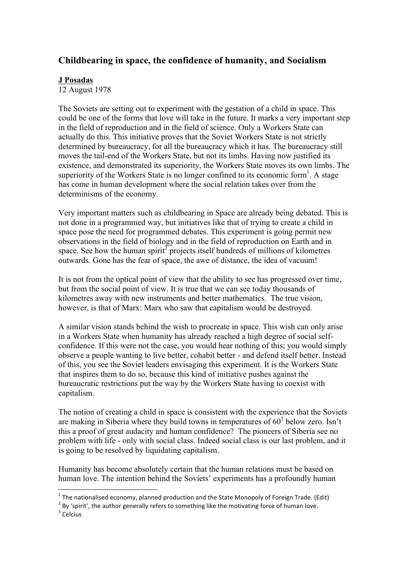## **Childbearing in space, the confidence of humanity, and Socialism**

## **J Posadas**

12 August 1978

The Soviets are setting out to experiment with the gestation of a child in space. This could be one of the forms that love will take in the future. It marks a very important step in the field of reproduction and in the field of science. Only a Workers State can actually do this. This initiative proves that the Soviet Workers State is not strictly determined by bureaucracy, for all the bureaucracy which it has. The bureaucracy still moves the tail-end of the Workers State, but not its limbs. Having now justified its existence, and demonstrated its superiority, the Workers State moves its own limbs. The superiority of the Workers State is no longer confined to its economic form<sup>1</sup>. A stage has come in human development where the social relation takes over from the determinisms of the economy.

Very important matters such as childbearing in Space are already being debated. This is not done in a programmed way, but initiatives like that of trying to create a child in space pose the need for programmed debates. This experiment is going permit new observations in the field of biology and in the field of reproduction on Earth and in space. See how the human spirit<sup>2</sup> projects itself hundreds of millions of kilometres outwards. Gone has the fear of space, the awe of distance, the idea of vacuum!

It is not from the optical point of view that the ability to see has progressed over time, but from the social point of view. It is true that we can see today thousands of kilometres away with new instruments and better mathematics. The true vision, however, is that of Marx: Marx who saw that capitalism would be destroyed.

A similar vision stands behind the wish to procreate in space. This wish can only arise in a Workers State when humanity has already reached a high degree of social selfconfidence. If this were not the case, you would hear nothing of this; you would simply observe a people wanting to live better, cohabit better - and defend itself better. Instead of this, you see the Soviet leaders envisaging this experiment. It is the Workers State that inspires them to do so, because this kind of initiative pushes against the bureaucratic restrictions put the way by the Workers State having to coexist with capitalism.

The notion of creating a child in space is consistent with the experience that the Soviets are making in Siberia where they build towns in temperatures of  $60<sup>3</sup>$  below zero. Isn't this a proof of great audacity and human confidence? The pioneers of Siberia see no problem with life - only with social class. Indeed social class is our last problem, and it is going to be resolved by liquidating capitalism.

Humanity has become absolutely certain that the human relations must be based on human love. The intention behind the Soviets' experiments has a profoundly human

<u> 1989 - Jan Samuel Barbara, margaret e</u>

 $1$  The nationalised economy, planned production and the State Monopoly of Foreign Trade. (Edit)

<sup>2</sup> By 'spirit', the author generally refers to something like the motivating force of human love.<br>3 Celcius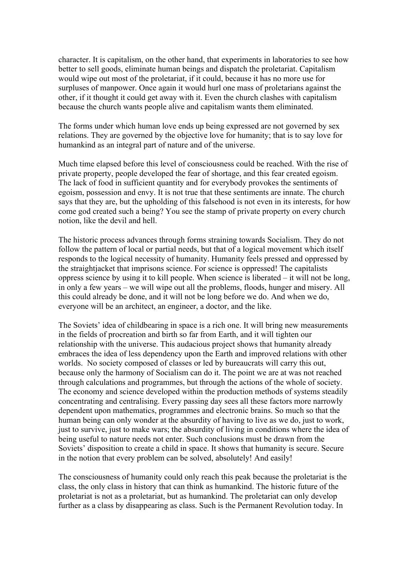character. It is capitalism, on the other hand, that experiments in laboratories to see how better to sell goods, eliminate human beings and dispatch the proletariat. Capitalism would wipe out most of the proletariat, if it could, because it has no more use for surpluses of manpower. Once again it would hurl one mass of proletarians against the other, if it thought it could get away with it. Even the church clashes with capitalism because the church wants people alive and capitalism wants them eliminated.

The forms under which human love ends up being expressed are not governed by sex relations. They are governed by the objective love for humanity; that is to say love for humankind as an integral part of nature and of the universe.

Much time elapsed before this level of consciousness could be reached. With the rise of private property, people developed the fear of shortage, and this fear created egoism. The lack of food in sufficient quantity and for everybody provokes the sentiments of egoism, possession and envy. It is not true that these sentiments are innate. The church says that they are, but the upholding of this falsehood is not even in its interests, for how come god created such a being? You see the stamp of private property on every church notion, like the devil and hell.

The historic process advances through forms straining towards Socialism. They do not follow the pattern of local or partial needs, but that of a logical movement which itself responds to the logical necessity of humanity. Humanity feels pressed and oppressed by the straightjacket that imprisons science. For science is oppressed! The capitalists oppress science by using it to kill people. When science is liberated – it will not be long, in only a few years – we will wipe out all the problems, floods, hunger and misery. All this could already be done, and it will not be long before we do. And when we do, everyone will be an architect, an engineer, a doctor, and the like.

The Soviets' idea of childbearing in space is a rich one. It will bring new measurements in the fields of procreation and birth so far from Earth, and it will tighten our relationship with the universe. This audacious project shows that humanity already embraces the idea of less dependency upon the Earth and improved relations with other worlds. No society composed of classes or led by bureaucrats will carry this out, because only the harmony of Socialism can do it. The point we are at was not reached through calculations and programmes, but through the actions of the whole of society. The economy and science developed within the production methods of systems steadily concentrating and centralising. Every passing day sees all these factors more narrowly dependent upon mathematics, programmes and electronic brains. So much so that the human being can only wonder at the absurdity of having to live as we do, just to work, just to survive, just to make wars; the absurdity of living in conditions where the idea of being useful to nature needs not enter. Such conclusions must be drawn from the Soviets' disposition to create a child in space. It shows that humanity is secure. Secure in the notion that every problem can be solved, absolutely! And easily!

The consciousness of humanity could only reach this peak because the proletariat is the class, the only class in history that can think as humankind. The historic future of the proletariat is not as a proletariat, but as humankind. The proletariat can only develop further as a class by disappearing as class. Such is the Permanent Revolution today. In